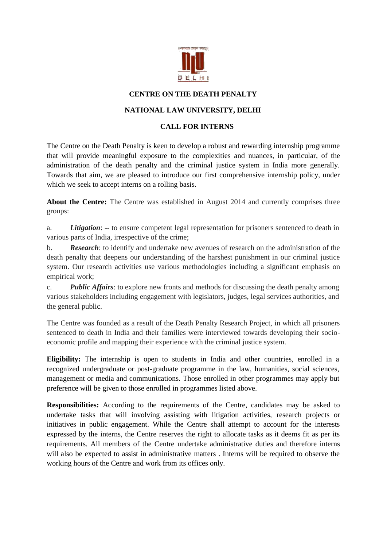

## **CENTRE ON THE DEATH PENALTY**

## **NATIONAL LAW UNIVERSITY, DELHI**

## **CALL FOR INTERNS**

The Centre on the Death Penalty is keen to develop a robust and rewarding internship programme that will provide meaningful exposure to the complexities and nuances, in particular, of the administration of the death penalty and the criminal justice system in India more generally. Towards that aim, we are pleased to introduce our first comprehensive internship policy, under which we seek to accept interns on a rolling basis.

About the Centre: The Centre was established in August 2014 and currently comprises three groups:

a. *Litigation*: -- to ensure competent legal representation for prisoners sentenced to death in various parts of India, irrespective of the crime;

b. *Research*: to identify and undertake new avenues of research on the administration of the death penalty that deepens our understanding of the harshest punishment in our criminal justice system. Our research activities use various methodologies including a significant emphasis on empirical work;

c. *Public Affairs*: to explore new fronts and methods for discussing the death penalty among various stakeholders including engagement with legislators, judges, legal services authorities, and the general public.

The Centre was founded as a result of the Death Penalty Research Project, in which all prisoners sentenced to death in India and their families were interviewed towards developing their socioeconomic profile and mapping their experience with the criminal justice system.

**Eligibility:** The internship is open to students in India and other countries, enrolled in a recognized undergraduate or post-graduate programme in the law, humanities, social sciences, management or media and communications. Those enrolled in other programmes may apply but preference will be given to those enrolled in programmes listed above.

**Responsibilities:** According to the requirements of the Centre, candidates may be asked to undertake tasks that will involving assisting with litigation activities, research projects or initiatives in public engagement. While the Centre shall attempt to account for the interests expressed by the interns, the Centre reserves the right to allocate tasks as it deems fit as per its requirements. All members of the Centre undertake administrative duties and therefore interns will also be expected to assist in administrative matters . Interns will be required to observe the working hours of the Centre and work from its offices only.